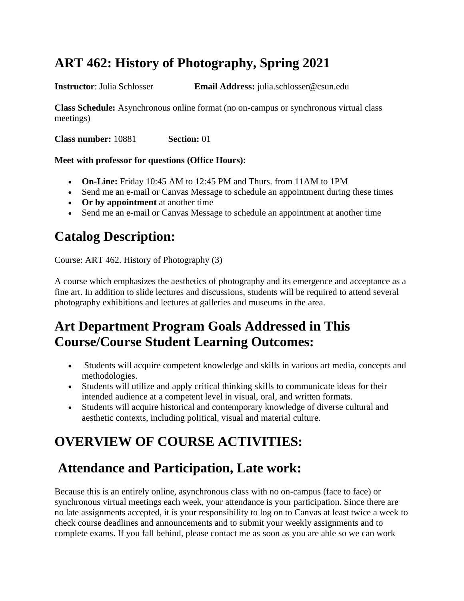#### **ART 462: History of Photography, Spring 2021**

**Instructor**: Julia Schlosser **Email Address:** julia.schlosser@csun.edu

**Class Schedule:** Asynchronous online format (no on-campus or synchronous virtual class meetings)

**Class number:** 10881 **Section:** 01

#### **Meet with professor for questions (Office Hours):**

- **On-Line:** Friday 10:45 AM to 12:45 PM and Thurs. from 11AM to 1PM
- Send me an e-mail or Canvas Message to schedule an appointment during these times
- **Or by appointment** at another time
- Send me an e-mail or Canvas Message to schedule an appointment at another time

#### **Catalog Description:**

Course: ART 462. History of Photography (3)

A course which emphasizes the aesthetics of photography and its emergence and acceptance as a fine art. In addition to slide lectures and discussions, students will be required to attend several photography exhibitions and lectures at galleries and museums in the area.

#### **Art Department Program Goals Addressed in This Course/Course Student Learning Outcomes:**

- Students will acquire competent knowledge and skills in various art media, concepts and methodologies.
- Students will utilize and apply critical thinking skills to communicate ideas for their intended audience at a competent level in visual, oral, and written formats.
- Students will acquire historical and contemporary knowledge of diverse cultural and aesthetic contexts, including political, visual and material culture.

## **OVERVIEW OF COURSE ACTIVITIES:**

#### **Attendance and Participation, Late work:**

Because this is an entirely online, asynchronous class with no on-campus (face to face) or synchronous virtual meetings each week, your attendance is your participation. Since there are no late assignments accepted, it is your responsibility to log on to Canvas at least twice a week to check course deadlines and announcements and to submit your weekly assignments and to complete exams. If you fall behind, please contact me as soon as you are able so we can work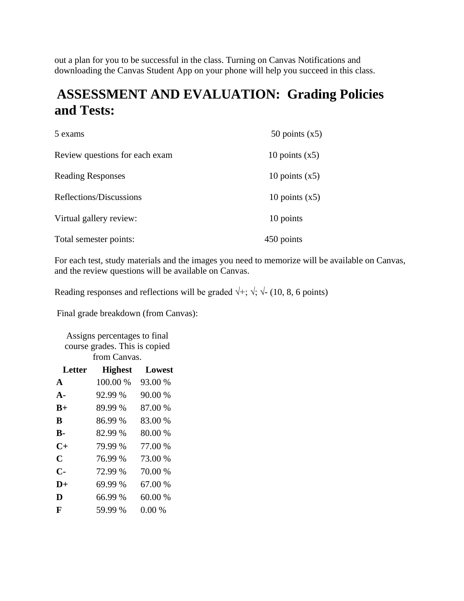out a plan for you to be successful in the class. Turning on Canvas Notifications and downloading the Canvas Student App on your phone will help you succeed in this class.

#### **ASSESSMENT AND EVALUATION: Grading Policies and Tests:**

| 5 exams                        | 50 points $(x5)$ |
|--------------------------------|------------------|
| Review questions for each exam | 10 points $(x5)$ |
| <b>Reading Responses</b>       | 10 points $(x5)$ |
| Reflections/Discussions        | 10 points $(x5)$ |
| Virtual gallery review:        | 10 points        |
| Total semester points:         | 450 points       |

For each test, study materials and the images you need to memorize will be available on Canvas, and the review questions will be available on Canvas.

Reading responses and reflections will be graded  $\forall$ +;  $\forall$ ;  $\forall$ - (10, 8, 6 points)

Final grade breakdown (from Canvas):

Assigns percentages to final course grades. This is copied from Canvas.

| Letter        | <b>Highest</b> | Lowest  |
|---------------|----------------|---------|
| $\mathbf{A}$  | 100.00 %       | 93.00 % |
| $\mathbf{A}$  | 92.99 %        | 90.00 % |
| $B+$          | 89.99%         | 87.00 % |
| B             | 86.99 %        | 83.00 % |
| <b>B-</b>     | 82.99 %        | 80.00 % |
| $C+$          | 79.99 %        | 77.00 % |
| $\mathbf C$   | 76.99 %        | 73.00 % |
| $\mathbf{C}$  | 72.99 %        | 70.00 % |
| $\mathbf{D}+$ | 69.99%         | 67.00 % |
| D             | 66.99 %        | 60.00 % |
| F             | 59.99 %        | 0.00%   |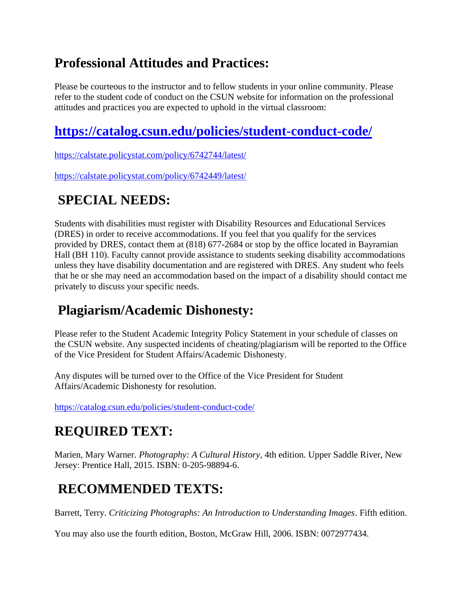#### **Professional Attitudes and Practices:**

Please be courteous to the instructor and to fellow students in your online community. Please refer to the student code of conduct on the CSUN website for information on the professional attitudes and practices you are expected to uphold in the virtual classroom:

# **<https://catalog.csun.edu/policies/student-conduct-code/>**

<https://calstate.policystat.com/policy/6742744/latest/>

<https://calstate.policystat.com/policy/6742449/latest/>

# **SPECIAL NEEDS:**

Students with disabilities must register with Disability Resources and Educational Services (DRES) in order to receive accommodations. If you feel that you qualify for the services provided by DRES, contact them at (818) 677-2684 or stop by the office located in Bayramian Hall (BH 110). Faculty cannot provide assistance to students seeking disability accommodations unless they have disability documentation and are registered with DRES. Any student who feels that he or she may need an accommodation based on the impact of a disability should contact me privately to discuss your specific needs.

## **Plagiarism/Academic Dishonesty:**

Please refer to the Student Academic Integrity Policy Statement in your schedule of classes on the CSUN website. Any suspected incidents of cheating/plagiarism will be reported to the Office of the Vice President for Student Affairs/Academic Dishonesty.

Any disputes will be turned over to the Office of the Vice President for Student Affairs/Academic Dishonesty for resolution.

<https://catalog.csun.edu/policies/student-conduct-code/>

# **REQUIRED TEXT:**

Marien, Mary Warner. *Photography: A Cultural History*, 4th edition*.* Upper Saddle River, New Jersey: Prentice Hall, 2015. ISBN: 0-205-98894-6.

## **RECOMMENDED TEXTS:**

Barrett, Terry. *Criticizing Photographs: An Introduction to Understanding Images*. Fifth edition.

You may also use the fourth edition, Boston, McGraw Hill, 2006. ISBN: 0072977434.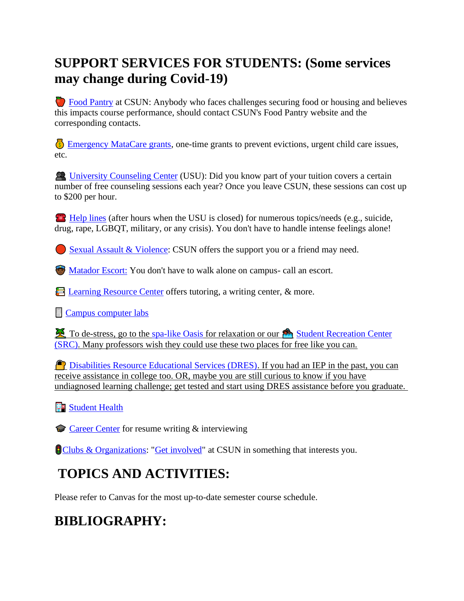#### **SUPPORT SERVICES FOR STUDENTS: (Some services may change during Covid-19)**

 [Food Pantry](http://www.csun.edu/undergraduate-studies/faculty-development/%20https:/www.csun.edu/mic/csun-food-pantry) at CSUN: Anybody who faces challenges securing food or housing and believes this impacts course performance, should contact CSUN's Food Pantry website and the corresponding contacts.

 [Emergency MataCare grants,](https://www.csun.edu/financialaid/matacare-emergency-grant) one-time grants to prevent evictions, urgent child care issues, etc.

 [University Counseling Center](http://www.csun.edu/counseling/students) (USU): Did you know part of your tuition covers a certain number of free counseling sessions each year? Once you leave CSUN, these sessions can cost up to \$200 per hour.

 $H$ . [Help lines](http://www.csun.edu/counseling/urgent-care) (after hours when the USU is closed) for numerous topics/needs (e.g., suicide, drug, rape, LGBQT, military, or any crisis). You don't have to handle intense feelings alone!

[Sexual Assault & Violence:](http://www.csun.edu/eqd/shine-light) CSUN offers the support you or a friend may need.

**[Matador Escort:](http://www.csun.edu/police/matador-patrol)** You don't have to walk alone on campus- call an escort.

E [Learning Resource Center](http://www.csun.edu/undergraduate-studies/learning-resource-center) offers tutoring, a writing center, & more.

**[Campus computer labs](http://www.csun.edu/it/campus-computer-labs)** 

To de-stress, go to the [spa-like Oasis](http://www.csun.edu/oasis/faqs) for relaxation or our Student Recreation Center [\(SRC\).](http://www.csun.edu/src/) Many professors wish they could use these two places for free like you can.

**P** [Disabilities Resource Educational Services \(DRES\).](http://www.csun.edu/dres) If you had an IEP in the past, you can receive assistance in college too. OR, maybe you are still curious to know if you have undiagnosed learning challenge; get tested and start using DRES assistance before you graduate.

#### **Fo** [Student Health](http://www.csun.edu/shc)

[Career Center](http://www.csun.edu/career/services) for resume writing & interviewing

**[Clubs & Organizations:](https://www.csun.edu/mic/club-and-organizations-directory) ["Get involved"](http://www.csun.edu/studentaffairs/students)** at CSUN in something that interests you.

# **TOPICS AND ACTIVITIES:**

Please refer to Canvas for the most up-to-date semester course schedule.

# **BIBLIOGRAPHY:**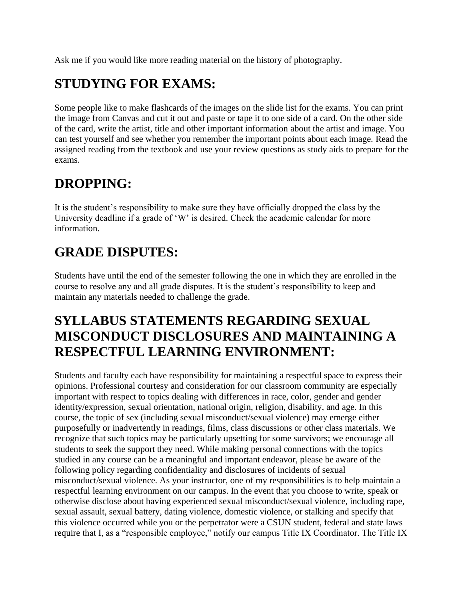Ask me if you would like more reading material on the history of photography.

# **STUDYING FOR EXAMS:**

Some people like to make flashcards of the images on the slide list for the exams. You can print the image from Canvas and cut it out and paste or tape it to one side of a card. On the other side of the card, write the artist, title and other important information about the artist and image. You can test yourself and see whether you remember the important points about each image. Read the assigned reading from the textbook and use your review questions as study aids to prepare for the exams.

#### **DROPPING:**

It is the student's responsibility to make sure they have officially dropped the class by the University deadline if a grade of 'W' is desired. Check the academic calendar for more information.

#### **GRADE DISPUTES:**

Students have until the end of the semester following the one in which they are enrolled in the course to resolve any and all grade disputes. It is the student's responsibility to keep and maintain any materials needed to challenge the grade.

#### **SYLLABUS STATEMENTS REGARDING SEXUAL MISCONDUCT DISCLOSURES AND MAINTAINING A RESPECTFUL LEARNING ENVIRONMENT:**

Students and faculty each have responsibility for maintaining a respectful space to express their opinions. Professional courtesy and consideration for our classroom community are especially important with respect to topics dealing with differences in race, color, gender and gender identity/expression, sexual orientation, national origin, religion, disability, and age. In this course, the topic of sex (including sexual misconduct/sexual violence) may emerge either purposefully or inadvertently in readings, films, class discussions or other class materials. We recognize that such topics may be particularly upsetting for some survivors; we encourage all students to seek the support they need. While making personal connections with the topics studied in any course can be a meaningful and important endeavor, please be aware of the following policy regarding confidentiality and disclosures of incidents of sexual misconduct/sexual violence. As your instructor, one of my responsibilities is to help maintain a respectful learning environment on our campus. In the event that you choose to write, speak or otherwise disclose about having experienced sexual misconduct/sexual violence, including rape, sexual assault, sexual battery, dating violence, domestic violence, or stalking and specify that this violence occurred while you or the perpetrator were a CSUN student, federal and state laws require that I, as a "responsible employee," notify our campus Title IX Coordinator. The Title IX